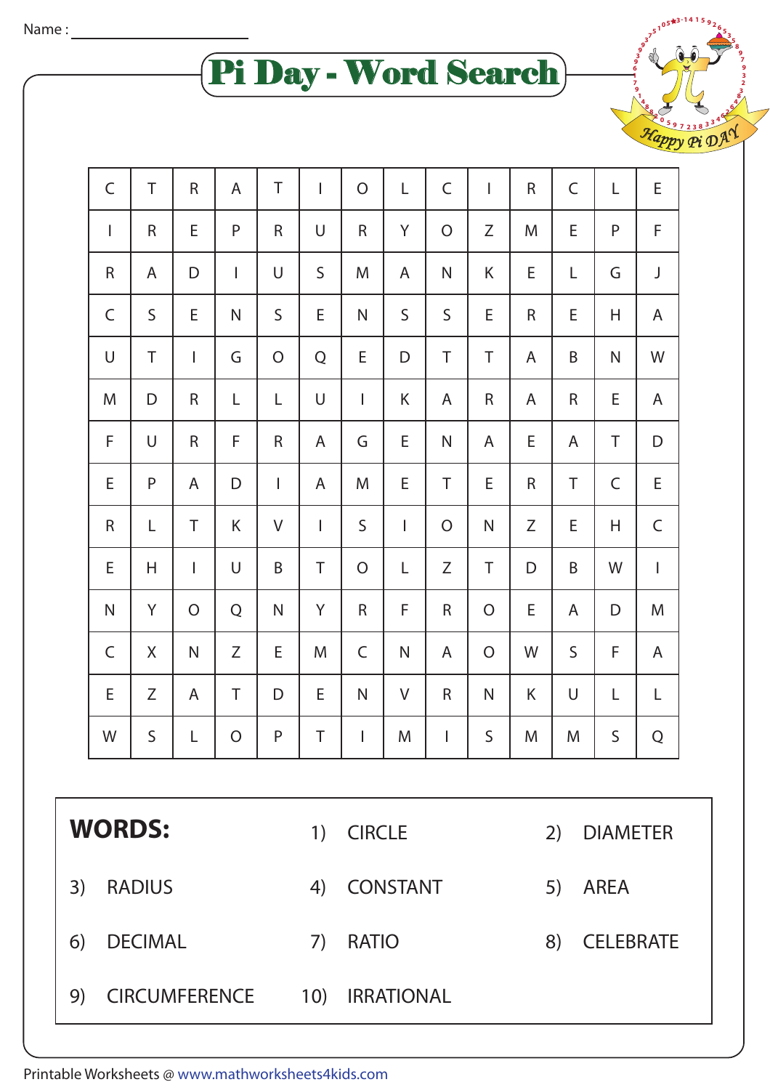Pi Day - Word Search

**1 4 1**

**4 3 8 3 9 7 2 3 5 0** <sup>H</sup><sup>a</sup>pp<sup>y</sup> <sup>P</sup><sup>i</sup> <sup>D</sup>A<sup>Y</sup>

|    | $\mathsf C$          | T              | $\mathsf R$    | A              | T              | $\mathbf{I}$ | $\mathcal{O}$                          | L               | $\mathsf C$    | I            | $\mathsf{R}$          | $\mathsf C$ | L | E            |  |
|----|----------------------|----------------|----------------|----------------|----------------|--------------|----------------------------------------|-----------------|----------------|--------------|-----------------------|-------------|---|--------------|--|
|    | T                    | $\mathsf R$    | E              | ${\sf P}$      | $\mathsf R$    | U            | $\mathsf R$                            | Υ               | O              | Ζ            | M                     | E           | P | F            |  |
|    | ${\sf R}$            | A              | D              | L              | U              | $\mathsf S$  | M                                      | A               | N              | Κ            | Ε                     | L           | G | J            |  |
|    | $\mathsf C$          | S              | E              | N              | S              | E            | $\mathsf{N}$                           | $\mathsf S$     | S              | E            | $\mathsf{R}$          | E           | H | A            |  |
|    | U                    | T              | I              | G              | $\overline{O}$ | Q            | E                                      | D               | T              | T            | A                     | B           | N | W            |  |
|    | M                    | D              | $\mathsf R$    | L              | L              | U            | T                                      | Κ               | A              | R            | A                     | R           | Ε | A            |  |
|    | F                    | U              | $\mathsf R$    | F              | ${\sf R}$      | A            | G                                      | E               | $\mathsf{N}$   | A            | E                     | A           | Τ | D            |  |
|    | E                    | P              | A              | D              | $\mathbf{I}$   | A            | M                                      | E               | Τ              | E            | $\mathsf R$           | Τ           | C | E            |  |
|    | ${\sf R}$            | L              | T              | K              | V              | $\mathbf{I}$ | $\mathsf S$                            | T               | $\overline{O}$ | ${\sf N}$    | Ζ                     | E           | H | C            |  |
|    | E                    | Н              | $\mathsf{l}$   | U              | B              | $\top$       | O                                      | L               | Ζ              | Τ            | D                     | B           | W | $\mathbf{I}$ |  |
|    | $\mathsf{N}$         | Y              | $\overline{O}$ | Q              | $\mathsf{N}$   | Y            | $\mathsf R$                            | F               | R              | O            | Ε                     | A           | D | M            |  |
|    | $\mathsf C$          | X              | $\mathsf{N}$   | Ζ              | E              | M            | $\mathsf C$                            | $\mathsf{N}$    | A              | $\mathsf{O}$ | W                     | $\mathsf S$ | F | A            |  |
|    | E                    | Ζ              | A              | Τ              | D              | Ε            | $\mathsf{N}$                           | V               | R              | ${\sf N}$    | K                     | U           | L | L            |  |
|    | W                    | S              | L              | $\overline{O}$ | P              | Τ            | $\mathbf{I}$                           | M               | T              | $\sf S$      | M                     | M           | S | Q            |  |
|    |                      |                |                |                |                |              |                                        |                 |                |              |                       |             |   |              |  |
|    | <b>WORDS:</b>        |                |                |                |                | 1)           | <b>CIRCLE</b>                          |                 |                |              | <b>DIAMETER</b><br>2) |             |   |              |  |
| 3) |                      | <b>RADIUS</b>  |                |                |                | 4)           |                                        | <b>CONSTANT</b> |                |              | 5)<br><b>AREA</b>     |             |   |              |  |
| 6) |                      | <b>DECIMAL</b> |                |                |                |              | <b>RATIO</b><br><b>CELEBRATE</b><br>8) |                 |                |              |                       |             |   |              |  |
| 9) | <b>CIRCUMFERENCE</b> |                |                |                |                |              | <b>IRRATIONAL</b>                      |                 |                |              |                       |             |   |              |  |